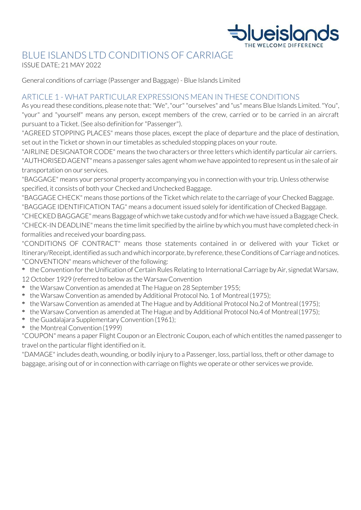

# BLUE ISLANDS LTD CONDITIONS OF CARRIAGE

ISSUE DATE; 21 MAY 2022

General conditions of carriage (Passenger and Baggage) - Blue Islands Limited

# ARTICLE 1 - WHAT PARTICULAR EXPRESSIONS MEAN IN THESE CONDITIONS

As you read these conditions, please note that: "We", "our" "ourselves" and "us" means Blue Islands Limited. "You", "your" and "yourself" means any person, except members of the crew, carried or to be carried in an aircraft pursuant to a Ticket. (See also definition for"Passenger").

"AGREED STOPPING PLACES" means those places, except the place of departure and the place of destination, set out in the Ticket or shown in our timetables as scheduled stopping places on your route.

"AIRLINE DESIGNATOR CODE" means the two characters or three letters which identify particular air carriers. "AUTHORISED AGENT"means a passenger sales agent whom we have appointed to represent us in the sale of air transportation on our services.

"BAGGAGE" means your personal property accompanying you in connection with your trip. Unless otherwise specified, it consists of both your Checked and Unchecked Baggage.

"BAGGAGE CHECK" means those portions of the Ticket which relate to the carriage of your Checked Baggage. "BAGGAGE IDENTIFICATION TAG" means a document issued solely for identification of Checked Baggage.

"CHECKED BAGGAGE" means Baggage of which we take custody and for which we have issued a Baggage Check. "CHECK-IN DEADLINE"means the time limit specified by the airline by which you must have completed check-in formalities and received your boarding pass.

"CONDITIONS OF CONTRACT" means those statements contained in or delivered with your Ticket or Itinerary/Receipt, identified as such and which incorporate, by reference, these Conditions of Carriage and notices. "CONVENTION" means whichever of the following:

- \* the Convention forthe Unification of Certain Rules Relating to International Carriage by Air, signedat Warsaw, 12 October 1929 (referred to below as the Warsaw Convention
- \* the Warsaw Convention as amended at The Hague on 28 September1955;
- \* the Warsaw Convention as amended by Additional Protocol No. 1 of Montreal(1975);
- \* the Warsaw Convention as amended at The Hague and by Additional Protocol No.2 of Montreal(1975);
- \* the Warsaw Convention as amended at The Hague and by Additional Protocol No.4 of Montreal(1975);
- \* the Guadalajara Supplementary Convention (1961);
- \* the Montreal Convention (1999)

"COUPON" means a paper Flight Coupon or an Electronic Coupon, each of which entitles the named passenger to travel on the particular flight identified on it.

"DAMAGE" includes death, wounding, or bodily injury to a Passenger, loss, partial loss, theft or other damage to baggage, arising out of or in connection with carriage on flights we operate or other services we provide.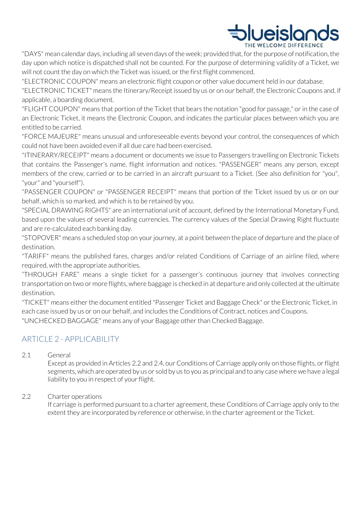

"DAYS" mean calendar days, including all seven days of the week; provided that, for the purpose of notification, the day upon which notice is dispatched shall not be counted. For the purpose of determining validity of a Ticket, we will not count the day on which the Ticket was issued, or the first flight commenced.

"ELECTRONIC COUPON" means an electronic flight coupon or other value document held in our database.

"ELECTRONIC TICKET" means the Itinerary/Receipt issued by us or on our behalf, the Electronic Coupons and, if applicable, a boarding document.

"FLIGHT COUPON" means that portion of the Ticket that bears the notation "good for passage," or in the case of an Electronic Ticket, it means the Electronic Coupon, and indicates the particular places between which you are entitled to be carried.

"FORCE MAJEURE" means unusual and unforeseeable events beyond your control, the consequences of which could not have been avoided even if all due care had been exercised.

"ITINERARY/RECEIPT" means a document or documents we issue to Passengers travelling on Electronic Tickets that contains the Passenger's name, flight information and notices. "PASSENGER" means any person, except members of the crew, carried or to be carried in an aircraft pursuant to a Ticket. (See also definition for "you", "your" and "yourself").

"PASSENGER COUPON" or "PASSENGER RECEIPT" means that portion of the Ticket issued by us or on our behalf, which is so marked, and which is to be retained by you.

"SPECIAL DRAWING RIGHTS" are an international unit of account, defined by the International Monetary Fund, based upon the values of several leading currencies. The currency values of the Special Drawing Right fluctuate and are re-calculated each banking day.

"STOPOVER" means a scheduled stop on your journey, at a point between the place of departure and the place of destination.

"TARIFF" means the published fares, charges and/or related Conditions of Carriage of an airline filed, where required, with the appropriate authorities.

"THROUGH FARE" means a single ticket for a passenger's continuous journey that involves connecting transportation on two or more flights, where baggage is checked in at departure and only collected at the ultimate destination.

"TICKET" means either the document entitled "Passenger Ticket and Baggage Check" or the Electronic Ticket, in each case issued by us or on our behalf, and includes the Conditions of Contract, notices and Coupons. "UNCHECKED BAGGAGE" means any of your Baggage other than Checked Baggage.

# ARTICLE 2 - APPLICABILITY

2.1 General

Except as provided in Articles 2.2 and 2.4, our Conditions of Carriage apply only on those flights, or flight segments, which are operated by us or sold by us to you as principal and to any case where we have a legal liability to you in respect of your flight.

#### 2.2 Charter operations

If carriage is performed pursuant to a charter agreement, these Conditions of Carriage apply only to the extent they are incorporated by reference or otherwise, in the charter agreement or the Ticket.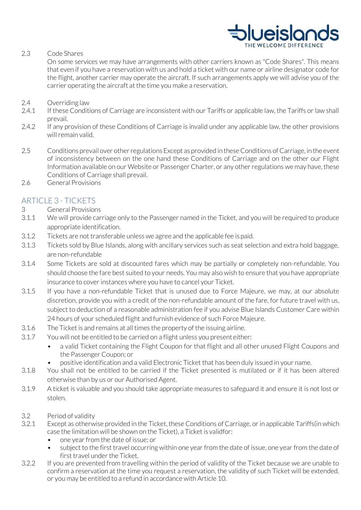

2.3 Code Shares

On some services we may have arrangements with other carriers known as "Code Shares". This means that even if you have a reservation with us and hold a ticket with our name or airline designator code for the flight, another carrier may operate the aircraft. If such arrangements apply we will advise you of the carrier operating the aircraft at the time you make a reservation.

- 2.4 Overriding law
- 2.4.1 If these Conditions of Carriage are inconsistent with our Tariffs or applicable law, the Tariffs or law shall prevail.
- 2.4.2 If any provision of these Conditions of Carriage is invalid under any applicable law, the other provisions will remain valid.
- 2.5 Conditions prevail over other regulations Except as provided in these Conditions of Carriage, in the event of inconsistency between on the one hand these Conditions of Carriage and on the other our Flight Information available on our Website or Passenger Charter, or any other regulations we may have, these Conditions of Carriage shall prevail.
- 2.6 General Provisions

# ARTICLE 3 - TICKETS

- 3 General Provisions
- 3.1.1 We will provide carriage only to the Passenger named in the Ticket, and you will be required to produce appropriate identification.
- 3.1.2 Tickets are not transferable unless we agree and the applicable fee is paid.
- 3.1.3 Tickets sold by Blue Islands, along with ancillary services such as seat selection and extra hold baggage, are non-refundable
- 3.1.4 Some Tickets are sold at discounted fares which may be partially or completely non-refundable. You should choose the fare best suited to your needs. You may also wish to ensure that you have appropriate insurance to cover instances where you have to cancel your Ticket.
- 3.1.5 If you have a non-refundable Ticket that is unused due to Force Majeure, we may, at our absolute discretion, provide you with a credit of the non-refundable amount of the fare, for future travel with us, subject to deduction of a reasonable administration fee if you advise Blue Islands Customer Care within 24 hours of your scheduled flight and furnish evidence of such Force Majeure.
- 3.1.6 The Ticket is and remains at all times the property of the issuing airline.
- 3.1.7 You will not be entitled to be carried on a flight unless you present either:
	- a valid Ticket containing the Flight Coupon for that flight and all other unused Flight Coupons and the Passenger Coupon; or
		- positive identification and a valid Electronic Ticket that has been duly issued in your name.
- 3.1.8 You shall not be entitled to be carried if the Ticket presented is mutilated or if it has been altered otherwise than by us or our Authorised Agent.
- 3.1.9 A ticket is valuable and you should take appropriate measures to safeguard it and ensure it is not lost or stolen.
- 3.2 Period of validity
- 3.2.1 Except as otherwise provided in the Ticket, these Conditions of Carriage, or in applicable Tariffs(in which case the limitation will be shown on the Ticket), a Ticket is validfor:
	- one year from the date of issue; or
	- subject to the first travel occurring within one year from the date of issue, one year from the date of first travel under the Ticket.
- 3.2.2 If you are prevented from travelling within the period of validity of the Ticket because we are unable to confirm a reservation at the time you request a reservation, the validity of such Ticket will be extended, or you may be entitled to a refund in accordance with Article 10.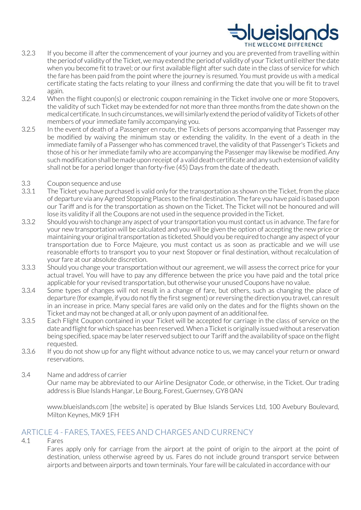# **Ilueislar** THE WELCOME DIFFERENCE

- 3.2.3 If you become ill after the commencement of your journey and you are prevented from travelling within the period of validity of the Ticket, we may extend the period of validity of your Ticket until either the date when you become fit to travel; or our first available flight after such date in the class of service for which the fare has been paid from the point where the journey is resumed. You must provide us with a medical certificate stating the facts relating to your illness and confirming the date that you will be fit to travel again.
- 3.2.4 When the flight coupon(s) or electronic coupon remaining in the Ticket involve one or more Stopovers, the validity of such Ticket may be extended for not more than three months from the date shown on the medical certificate. In such circumstances, we will similarly extend the period of validity of Tickets of other members of your immediate family accompanying you.
- 3.2.5 In the event of death of a Passenger en route, the Tickets of persons accompanying that Passenger may be modified by waiving the minimum stay or extending the validity. In the event of a death in the immediate family of a Passenger who has commenced travel, the validity of that Passenger's Tickets and those of his or her immediate family who are accompanying the Passenger may likewise be modified. Any such modification shall bemade upon receipt of a valid death certificate and any such extension of validity shall not be for a period longer than forty-five (45) Days from the date of thedeath.
- 3.3 Coupon sequence and use
- 3.3.1 The Ticket you have purchased is valid only for the transportation as shown on the Ticket, from the place of departure via any Agreed Stopping Places to the final destination. The fare you have paid is based upon our Tariff and is for the transportation as shown on the Ticket. The Ticket will not be honoured and will lose its validity if all the Coupons are not used in the sequence provided in theTicket.
- 3.3.2 Should you wish to change any aspect of your transportation you must contact us in advance. The fare for your new transportation will be calculated and you will be given the option of accepting the new price or maintaining your original transportation as ticketed. Should you be required to change any aspect of your transportation due to Force Majeure, you must contact us as soon as practicable and we will use reasonable efforts to transport you to your next Stopover or final destination, without recalculation of your fare at our absolute discretion.
- 3.3.3 Should you change your transportation without our agreement, we will assess the correct price for your actual travel. You will have to pay any difference between the price you have paid and the total price applicable for your revised transportation, but otherwise your unused Coupons have no value.
- 3.3.4 Some types of changes will not result in a change of fare, but others, such as changing the place of departure (for example, if you do not fly the first segment) or reversing the direction you travel, can result in an increase in price. Many special fares are valid only on the dates and for the flights shown on the Ticket and may not be changed at all, or only upon payment of an additionalfee.
- 3.3.5 Each Flight Coupon contained in your Ticket will be accepted for carriage in the class of service on the date and flight for which space has been reserved. When a Ticket is originally issued without a reservation being specified, space may be laterreserved subject to our Tariff and the availability of space on the flight requested.
- 3.3.6 If you do not show up for any flight without advance notice to us, we may cancel your return or onward reservations.
- 3.4 Name and address of carrier

Our name may be abbreviated to our Airline Designator Code, or otherwise, in the Ticket. Our trading address is Blue Islands Hangar, Le Bourg, Forest, Guernsey, GY8 0AN

[www.blueislands.com](http://www.blueislands.com/) [the website] is operated by Blue Islands Services Ltd, 100 Avebury Boulevard, Milton Keynes, MK9 1FH

# ARTICLE 4 - FARES, TAXES, FEES AND CHARGES AND CURRENCY

4.1 Fares

Fares apply only for carriage from the airport at the point of origin to the airport at the point of destination, unless otherwise agreed by us. Fares do not include ground transport service between airports and between airports and town terminals. Your fare will be calculated in accordance with our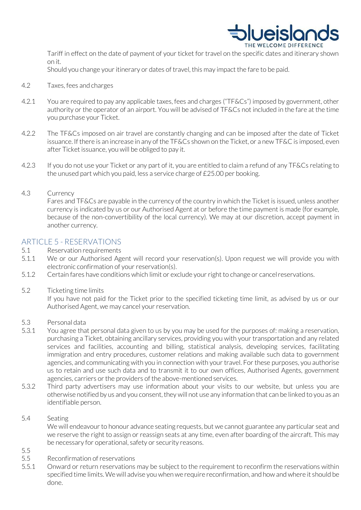

Tariff in effect on the date of payment of your ticket for travel on the specific dates and itinerary shown on it.

Should you change your itinerary or dates of travel, this may impact the fare to be paid.

- 4.2 Taxes, fees and charges
- 4.2.1 You are required to pay any applicable taxes, fees and charges ("TF&Cs") imposed by government, other authority or the operator of an airport. You will be advised of TF&Cs not included in the fare at the time you purchase your Ticket.
- 4.2.2 The TF&Cs imposed on air travel are constantly changing and can be imposed after the date of Ticket issuance. If there is an increase in any of the TF&Cs shown on the Ticket, or a new TF&C is imposed, even after Ticket issuance, you will be obliged to pay it.
- 4.2.3 If you do not use your Ticket or any part of it, you are entitled to claim a refund of any TF&Cs relating to the unused part which you paid, less a service charge of £25.00 per booking.

#### 4.3 Currency

Fares and TF&Cs are payable in the currency of the country in which the Ticket is issued, unless another currency is indicated by us or our Authorised Agent at or before the time payment is made (for example, because of the non-convertibility of the local currency). We may at our discretion, accept payment in another currency.

# ARTICLE 5 - RESERVATIONS

- 5.1 Reservation requirements
- 5.1.1 We or our Authorised Agent will record your reservation(s). Upon request we will provide you with electronic confirmation of your reservation(s).
- 5.1.2 Certain fares have conditions which limit or exclude your right to change or cancelreservations.
- 5.2 Ticketing time limits

If you have not paid for the Ticket prior to the specified ticketing time limit, as advised by us or our Authorised Agent, we may cancel your reservation.

- 5.3 Personal data
- 5.3.1 You agree that personal data given to us by you may be used for the purposes of: making a reservation, purchasing a Ticket, obtaining ancillary services, providing you with your transportation and any related services and facilities, accounting and billing, statistical analysis, developing services, facilitating immigration and entry procedures, customer relations and making available such data to government agencies, and communicating with you in connection with your travel. For these purposes, you authorise us to retain and use such data and to transmit it to our own offices, Authorised Agents, government agencies, carriers or the providers of the above-mentioned services.
- 5.3.2 Third party advertisers may use information about your visits to our website, but unless you are otherwise notified by us and you consent, they will not use any information that can be linked to you as an identifiable person.

#### 5.4 Seating

5.5

We will endeavour to honour advance seating requests, but we cannot guarantee any particular seat and we reserve the right to assign or reassign seats at any time, even after boarding of the aircraft. This may be necessary for operational, safety or security reasons.

- 5.5 Reconfirmation of reservations
- 5.5.1 Onward or return reservations may be subject to the requirement to reconfirm the reservations within specified time limits. We will advise you when we require reconfirmation, and how and where it should be done.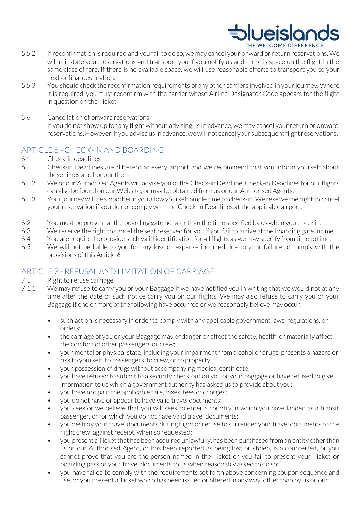# **DIveislan**

- 5.5.2 Ifreconfirmation is required and you failto do so, we may cancel your onward or return reservations. We will reinstate your reservations and transport you if you notify us and there is space on the flight in the same class of fare. If there is no available space, we will use reasonable efforts to transport you to your next or final destination.
- 5.5.3 You should check the reconfirmation requirements of any other carriers involved in your journey. Where it is required, you must reconfirm with the carrier whose Airline Designator Code appears for the flight in question on the Ticket.
- 5.6 Cancellation of onwardreservations

If you do not show up for any flight without advising us in advance, we may cancel your return or onward reservations. However, if you advise us in advance, we will not cancel your subsequent flight reservations.

# ARTICLE 6 - CHECK-IN AND BOARDING

- 6.1 Check-in deadlines
- 6.1.1 Check-in Deadlines are different at every airport and we recommend that you inform yourself about these times and honour them.
- 6.1.2 We or our Authorised Agents will advise you of the Check-in Deadline. Check-in Deadlines for our flights can also be found on our Website, or may be obtained from us or our AuthorisedAgents.
- 6.1.3 Yourjourney will be smootherif you allow yourself ample time to check-in.We reserve the right to cancel your reservation if you do not comply with the Check-in Deadlines at the applicableairport.
- 6.2 You must be present at the boarding gate no later than the time specified by us when you check in.
- 6.3 We reserve the right to cancel the seat reserved for you if you fail to arrive at the boarding gate intime.
- 6.4 You are required to provide such valid identification for all flights as we may specify from time totime.
- 6.5 We will not be liable to you for any loss or expense incurred due to your failure to comply with the provisions of this Article 6.

# ARTICLE 7 - REFUSAL AND LIMITATION OF CARRIAGE

- 7.1 Right to refuse carriage
- 7.1.1 We may refuse to carry you or your Baggage if we have notified you in writing that we would not at any time after the date of such notice carry you on our flights. We may also refuse to carry you or your Baggage if one or more of the following have occurred or we reasonably believe may occur:
	- such action is necessary in order to comply with any applicable government laws, regulations, or orders;
	- the carriage of you or your Baggage may endanger or affect the safety, health, or materially affect the comfort of other passengers or crew;
	- your mental or physical state, including your impairment from alcohol or drugs, presents a hazard or risk to yourself, to passengers, to crew, or to property;
	- your possession of drugs without accompanying medical certificate;
	- you have refused to submit to a security check out on you or your baggage or have refused to give information to us which a government authority has asked us to provide about you;
	- you have not paid the applicable fare, taxes, fees or charges;
	- you do not have or appear to have valid travel documents;
	- you seek or we believe that you will seek to enter a country in which you have landed as a transit passenger, or for which you do not have valid travel documents;
	- you destroy your travel documents during flight or refuse to surrender your travel documents to the flight crew, against receipt, when so requested;
	- you present a Ticket that has been acquired unlawfully, has been purchased from an entity other than us or our Authorised Agent, or has been reported as being lost or stolen, is a counterfeit, or you cannot prove that you are the person named in the Ticket or you fail to present your Ticket or boarding pass or your travel documents to us when reasonably asked to do so;
	- you have failed to comply with the requirements set forth above concerning coupon sequence and use, or you present a Ticket which has been issued or altered in any way, other than by us or our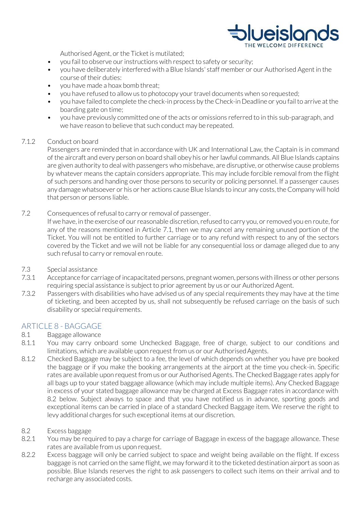

Authorised Agent, or the Ticket is mutilated;

- you fail to observe our instructions with respect to safety or security;
- you have deliberately interfered with a Blue Islands' staff member or our Authorised Agent in the course of their duties:
- you have made a hoax bomb threat;
- you have refused to allow us to photocopy your travel documents when sorequested;
- you have failed to complete the check-in process by the Check-in Deadline or you fail to arrive at the boarding gate on time;
- you have previously committed one of the acts or omissions referred to in this sub-paragraph, and we have reason to believe that such conduct may be repeated.

#### 7.1.2 Conduct on board

Passengers are reminded that in accordance with UK and International Law, the Captain is in command of the aircraft and every person on board shall obey his or herlawful commands. All Blue Islands captains are given authority to deal with passengers who misbehave, are disruptive, or otherwise cause problems by whatever means the captain considers appropriate. This may include forcible removal from the flight of such persons and handing over those persons to security or policing personnel. If a passenger causes any damage whatsoever or his or her actions cause Blue Islands to incur any costs, the Company will hold that person or persons liable.

7.2 Consequences of refusal to carry or removal of passenger.

If we have, in the exercise of our reasonable discretion, refused to carry you, or removed you en route, for any of the reasons mentioned in Article 7.1, then we may cancel any remaining unused portion of the Ticket. You will not be entitled to further carriage or to any refund with respect to any of the sectors covered by the Ticket and we will not be liable for any consequential loss or damage alleged due to any such refusal to carry or removal en route.

- 7.3 Special assistance
- 7.3.1 Acceptance for carriage of incapacitated persons, pregnant women, persons with illness or other persons requiring special assistance is subject to prior agreement by us or our Authorized Agent.
- 7.3.2 Passengers with disabilities who have advised us of any special requirements they may have at the time of ticketing, and been accepted by us, shall not subsequently be refused carriage on the basis of such disability or special requirements.

# ARTICLE 8 - BAGGAGE

- 8.1 Baggage allowance
- 8.1.1 You may carry onboard some Unchecked Baggage, free of charge, subject to our conditions and limitations, which are available upon request from us or our Authorised Agents.
- 8.1.2 Checked Baggage may be subject to a fee, the level of which depends on whether you have pre booked the baggage or if you make the booking arrangements at the airport at the time you check-in. Specific rates are available upon request from us or our Authorised Agents. The Checked Baggage rates apply for all bags up to your stated baggage allowance (which may include multiple items). Any Checked Baggage in excess of your stated baggage allowance may be charged at Excess Baggage rates in accordance with 8.2 below. Subject always to space and that you have notified us in advance, sporting goods and exceptional items can be carried in place of a standard Checked Baggage item. We reserve the right to levy additional charges for such exceptional items at our discretion.

#### 8.2 Excess baggage

- 8.2.1 You may be required to pay a charge for carriage of Baggage in excess of the baggage allowance. These rates are available from us upon request.
- 8.2.2 Excess baggage will only be carried subject to space and weight being available on the flight. If excess baggage is not carried on the same flight, we may forward it to the ticketed destination airport as soon as possible. Blue Islands reserves the right to ask passengers to collect such items on their arrival and to recharge any associated costs.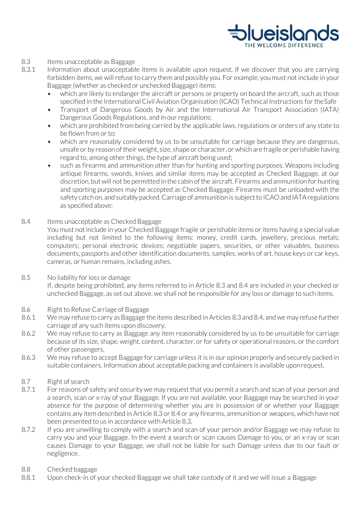

#### 8.3 Items unacceptable as Baggage

- 8.3.1 Information about unacceptable items is available upon request. If we discover that you are carrying forbidden items, we will refuse to carry them and possibly you. For example, you must not include in your Baggage (whether as checked or unchecked Baggage) items:
	- which are likely to endanger the aircraft or persons or property on board the aircraft, such as those specified in the International Civil Aviation Organisation (ICAO) Technical Instructions for theSafe
	- Transport of Dangerous Goods by Air and the International Air Transport Association (IATA) Dangerous Goods Regulations, and in our regulations;
	- which are prohibited from being carried by the applicable laws, regulations or orders of any state to be flown from or to:
	- which are reasonably considered by us to be unsuitable for carriage because they are dangerous, unsafe or by reason oftheir weight, size, shape or character, or which are fragile or perishable having regard to, among other things, the type of aircraft being used;
	- such as firearms and ammunition other than for hunting and sporting purposes. Weapons including antique firearms, swords, knives and similar items may be accepted as Checked Baggage, at our discretion, but will not be permitted in the cabin of the aircraft. Firearms and ammunition for hunting and sporting purposes may be accepted as Checked Baggage. Firearms must be unloaded with the safety catch on, and suitably packed. Carriage of ammunition is subject to ICAO and IATA regulations as specified above;

#### 8.4 Items unacceptable as Checked Baggage

You must not include in your Checked Baggage fragile or perishable items or items having a special value including but not limited to the following items: money, credit cards, jewellery, precious metals; computers; personal electronic devices; negotiable papers, securities, or other valuables, business documents, passports and other identification documents, samples, works of art, house keys or car keys, cameras, or human remains, including ashes.

#### 8.5 No liability for loss or damage

If, despite being prohibited, any items referred to in Article 8.3 and 8.4 are included in your checked or unchecked Baggage, as set out above, we shall not be responsible for any loss or damage to such items.

#### 8.6 Right to Refuse Carriage of Baggage

- 8.6.1 We may refuse to carry asBaggage the items described in Articles 8.3 and 8.4, and we may refuse further carriage of any such items upon discovery.
- 8.6.2 We may refuse to carry as Baggage any item reasonably considered by us to be unsuitable for carriage because of its size, shape, weight, content, character, or for safety or operational reasons, or the comfort of other passengers.
- 8.6.3 We may refuse to accept Baggage for carriage unless it is in our opinion properly and securely packed in suitable containers. Information about acceptable packing and containers is available uponrequest.

#### 8.7 Right of search

- 8.7.1 For reasons of safety and security we may request that you permit a search and scan of your person and a search, scan or x-ray of your Baggage. If you are not available, your Baggage may be searched in your absence for the purpose of determining whether you are in possession of or whether your Baggage contains any item described in Article 8.3 or 8.4 or any firearms, ammunition or weapons, which have not been presented to us in accordance with Article 8.3.
- 8.7.2 If you are unwilling to comply with a search and scan of your person and/or Baggage we may refuse to carry you and your Baggage. In the event a search or scan causes Damage to you, or an x-ray or scan causes Damage to your Baggage, we shall not be liable for such Damage unless due to our fault or negligence.

#### 8.8 Checked baggage

8.8.1 Upon check-in of your checked Baggage we shall take custody of it and we will issue a Baggage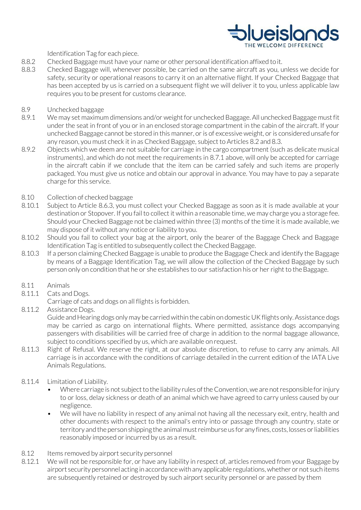

Identification Tag for each piece.

- 8.8.2 Checked Baggage must have your name or other personal identification affixed toit.
- 8.8.3 Checked Baggage will, whenever possible, be carried on the same aircraft as you, unless we decide for safety, security or operational reasons to carry it on an alternative flight. If your Checked Baggage that has been accepted by us is carried on a subsequent flight we will deliver it to you, unless applicable law requires you to be present for customs clearance.
- 8.9 Unchecked baggage
- 8.9.1 We may set maximum dimensions and/or weight for unchecked Baggage. All unchecked Baggage must fit under the seat in front of you or in an enclosed storage compartment in the cabin of the aircraft. If your unchecked Baggage cannot be stored in this manner, or is of excessive weight, or is considered unsafe for any reason, you must check it in as Checked Baggage, subject to Articles 8.2 and 8.3.
- 8.9.2 Objects which we deem are not suitable for carriage in the cargo compartment (such as delicate musical instruments), and which do not meet the requirements in 8.7.1 above, will only be accepted for carriage in the aircraft cabin if we conclude that the item can be carried safely and such items are properly packaged. You must give us notice and obtain our approval in advance. You may have to pay a separate charge for this service.
- 8.10 Collection of checked baggage
- 8.10.1 Subject to Article 8.6.3, you must collect your Checked Baggage as soon as it is made available at your destination or Stopover. If you fail to collect it within a reasonable time, we may charge you a storage fee. Should your Checked Baggage not be claimed within three (3) months of the time it is made available, we may dispose of it without any notice or liability to you.
- 8.10.2 Should you fail to collect your bag at the airport, only the bearer of the Baggage Check and Baggage Identification Tag is entitled to subsequently collect the Checked Baggage.
- 8.10.3 If a person claiming Checked Baggage is unable to produce the Baggage Check and identify the Baggage by means of a Baggage Identification Tag, we will allow the collection of the Checked Baggage by such person only on condition that he or she establishes to our satisfaction his or her right to the Baggage.
- 8.11 Animals
- 8.11.1 Cats and Dogs.

Carriage of cats and dogs on all flights is forbidden.

8.11.2 Assistance Dogs.

Guide and Hearing dogs only may be carried within the cabin on domestic UK flights only. Assistance dogs may be carried as cargo on international flights. Where permitted, assistance dogs accompanying passengers with disabilities will be carried free of charge in addition to the normal baggage allowance, subject to conditions specified by us, which are available on request.

- 8.11.3 Right of Refusal. We reserve the right, at our absolute discretion, to refuse to carry any animals. All carriage is in accordance with the conditions of carriage detailed in the current edition of the IATA Live Animals Regulations.
- 8.11.4 Limitation of Liability.
	- Where carriage is not subject to the liability rules of the Convention, we are not responsible for injury to or loss, delay sickness or death of an animal which we have agreed to carry unless caused by our negligence.
	- We will have no liability in respect of any animal not having all the necessary exit, entry, health and other documents with respect to the animal's entry into or passage through any country, state or territory and the person shipping the animal must reimburse us for any fines, costs, losses or liabilities reasonably imposed or incurred by us as a result.
- 8.12 Items removed by airport security personnel
- 8.12.1 We will not be responsible for, or have any liability in respect of, articles removed from your Baggage by airport security personnel acting in accordance with any applicable regulations, whether or not such items are subsequently retained or destroyed by such airport security personnel or are passed by them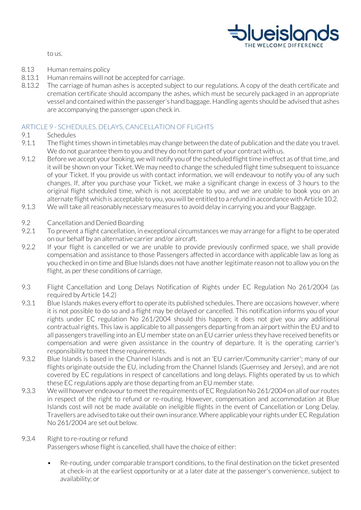

to us.

- 8.13 Human remains policy
- 8.13.1 Human remains will not be accepted for carriage.
- 8.13.2 The carriage of human ashes is accepted subject to our regulations. A copy of the death certificate and cremation certificate should accompany the ashes, which must be securely packaged in an appropriate vessel and contained within the passenger's hand baggage. Handling agents should be advised that ashes are accompanying the passenger upon check in.

#### ARTICLE 9 - SCHEDULES, DELAYS, CANCELLATION OF FLIGHTS

#### 9.1 Schedules

- 9.1.1 The flight times shown in timetables may change between the date of publication and the date you travel. We do not guarantee them to you and they do not form part of your contract with us.
- 9.1.2 Before we accept your booking, we will notify you of the scheduled flight time in effect as of that time, and it will be shown on your Ticket. We may need to change the scheduled flight time subsequent to issuance of your Ticket. If you provide us with contact information, we will endeavour to notify you of any such changes. If, after you purchase your Ticket, we make a significant change in excess of 3 hours to the original flight scheduled time, which is not acceptable to you, and we are unable to book you on an alternate flight which is acceptable to you, you will be entitled to a refund in accordance with Article 10.2.
- 9.1.3 We will take all reasonably necessary measures to avoid delay in carrying you and your Baggage.
- 9.2 Cancellation and Denied Boarding
- 9.2.1 To prevent a flight cancellation, in exceptional circumstances we may arrange for a flight to be operated on our behalf by an alternative carrier and/or aircraft.
- 9.2.2 If your flight is cancelled or we are unable to provide previously confirmed space, we shall provide compensation and assistance to those Passengers affected in accordance with applicable law as long as you checked in on time and Blue Islands does not have another legitimate reason not to allow you on the flight, as per these conditions of carriage.
- 9.3 Flight Cancellation and Long Delays Notification of Rights under EC Regulation No 261/2004 (as required by Article 14.2)
- 9.3.1 Blue Islands makes every effort to operate its published schedules. There are occasions however, where it is not possible to do so and a flight may be delayed or cancelled. This notification informs you of your rights under EC regulation No 261/2004 should this happen; it does not give you any additional contractual rights. This law is applicable to all passengers departing from an airport within the EU and to all passengers travelling into an EU member state on an EU carrier unless they have received benefits or compensation and were given assistance in the country of departure. It is the operating carrier's responsibility to meet these requirements.
- 9.3.2 Blue Islands is based in the Channel Islands and is not an 'EU carrier/Community carrier'; many of our flights originate outside the EU, including from the Channel Islands (Guernsey and Jersey), and are not covered by EC regulations in respect of cancellations and long delays. Flights operated by us to which these EC regulations apply are those departing from an EU member state.
- 9.3.3 We will however endeavour to meet the requirements of EC Regulation No 261/2004 on all of our routes in respect of the right to refund or re-routing. However, compensation and accommodation at Blue Islands cost will not be made available on ineligible flights in the event of Cancellation or Long Delay. Travellers are advised to take outtheir own insurance. Where applicable yourrights under EC Regulation No 261/2004 are set out below.

#### 9.3.4 Right to re-routing or refund

Passengers whose flight is cancelled, shall have the choice of either:

• Re-routing, under comparable transport conditions, to the final destination on the ticket presented at check-in at the earliest opportunity or at a later date at the passenger's convenience, subject to availability; or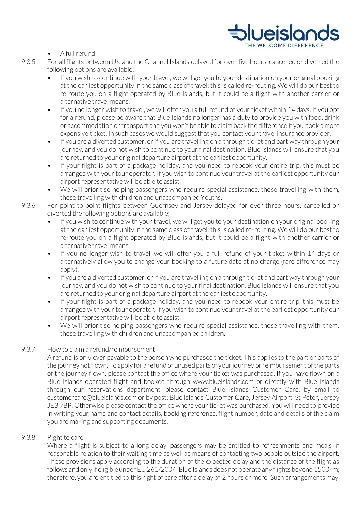

#### A full refund

- 9.3.5 For all flights between UK and the Channel Islands delayed for over five hours, cancelled or diverted the following options are available;
	- If you wish to continue with your travel, we will get you to your destination on your original booking at the earliest opportunity in the same class of travel; this is called re-routing. We will do our best to re-route you on a flight operated by Blue Islands, but it could be a flight with another carrier or alternative travel means.
	- If you no longer wish to travel, we will offer you a full refund of your ticket within 14 days. If you opt for a refund, please be aware that Blue Islands no longer has a duty to provide you with food, drink or accommodation ortransport and you won't be able to claim back the difference if you book a more expensive ticket. In such cases we would suggest that you contact your travel insurance provider.
	- If you are a diverted customer, or if you are travelling on a through ticket and part way through your journey, and you do not wish to continue to your final destination, Blue Islands will ensure that you are returned to your original departure airport at the earliest opportunity.
	- If your flight is part of a package holiday, and you need to rebook your entire trip, this must be arranged with your tour operator. If you wish to continue your travel at the earliest opportunity our airport representative will be able to assist.
	- We will prioritise helping passengers who require special assistance, those travelling with them, those travelling with children and unaccompanied Youths.
- 9.3.6 For point to point flights between Guernsey and Jersey delayed for over three hours, cancelled or diverted the following options are available;
	- If you wish to continue with your travel, we will get you to your destination on your original booking at the earliest opportunity in the same class of travel; this is called re-routing. We will do our best to re-route you on a flight operated by Blue Islands, but it could be a flight with another carrier or alternative travel means.
	- If you no longer wish to travel, we will offer you a full refund of your ticket within 14 days or alternatively allow you to change your booking to a future date at no charge (fare difference may apply).
	- If you are a diverted customer, or if you are travelling on a through ticket and part way through your journey, and you do not wish to continue to your final destination, Blue Islands will ensure that you are returned to your original departure airport at the earliest opportunity.
	- If your flight is part of a package holiday, and you need to rebook your entire trip, this must be arranged with your tour operator. If you wish to continue your travel at the earliest opportunity our airport representative will be able to assist.
	- We will prioritise helping passengers who require special assistance, those travelling with them, those travelling with children and unaccompanied children.

#### 9.3.7 How to claim a refund/reimbursement

A refund is only ever payable to the person who purchased the ticket. This applies to the part or parts of the journey not flown. To apply for a refund of unused parts of your journey or reimbursement of the parts of the journey flown, please contact the office where your ticket was purchased. If you have flown on a Blue Islands operated flight and booked through [www.blueislands.com o](http://www.blueislands.com/)r directly with Blue Islands through our reservations department, please contact Blue Islands Customer Care, by email to [customercare@blueislands.com o](mailto:customercare@blueislands.com)r by post: Blue Islands Customer Care, Jersey Airport, St Peter, Jersey JE3 7BP. Otherwise please contact the office where your ticket was purchased. You will need to provide in writing your name and contact details, booking reference, flight number, date and details of the claim you are making and supporting documents.

#### 9.3.8 Right to care

Where a flight is subject to a long delay, passengers may be entitled to refreshments and meals in reasonable relation to their waiting time as well as means of contacting two people outside the airport. These provisions apply according to the duration of the expected delay and the distance of the flight as follows and only if eligible under EU 261/2004. Blue Islands does not operate any flights beyond 1500km; therefore, you are entitled to this right of care after a delay of 2 hours or more. Such arrangements may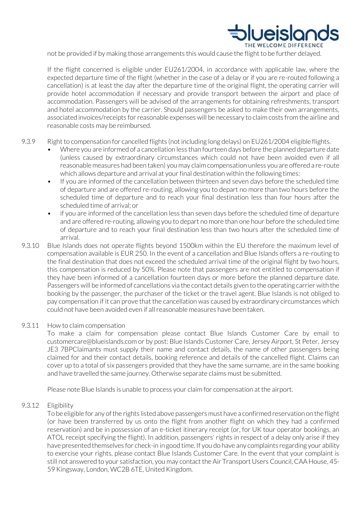

not be provided if by making those arrangements this would cause the flight to be further delayed.

If the flight concerned is eligible under EU261/2004, in accordance with applicable law, where the expected departure time of the flight (whether in the case of a delay or if you are re-routed following a cancellation) is at least the day after the departure time of the original flight, the operating carrier will provide hotel accommodation if necessary and provide transport between the airport and place of accommodation. Passengers will be advised of the arrangements for obtaining refreshments, transport and hotel accommodation by the carrier. Should passengers be asked to make their own arrangements, associated invoices/receipts forreasonable expenses will be necessary to claim costs from the airline and reasonable costs may be reimbursed.

- 9.3.9 Right to compensation for cancelled flights (not including long delays) on EU261/2004 eligible flights.
	- Where you are informed of a cancellation less than fourteen days before the planned departure date (unless caused by extraordinary circumstances which could not have been avoided even if all reasonable measures had been taken) you may claim compensation unless you are offered a re-route which allows departure and arrival at your final destination within the following times:
	- If you are informed of the cancellation between thirteen and seven days before the scheduled time of departure and are offered re-routing, allowing you to depart no more than two hours before the scheduled time of departure and to reach your final destination less than four hours after the scheduled time of arrival; or
	- if you are informed of the cancellation less than seven days before the scheduled time of departure and are offered re-routing, allowing you to depart no more than one hour before the scheduled time of departure and to reach your final destination less than two hours after the scheduled time of arrival.
- 9.3.10 Blue Islands does not operate flights beyond 1500km within the EU therefore the maximum level of compensation available is EUR 250. In the event of a cancellation and Blue Islands offers a re-routing to the final destination that does not exceed the scheduled arrival time of the original flight by two hours, this compensation is reduced by 50%. Please note that passengers are not entitled to compensation if they have been informed of a cancellation fourteen days or more before the planned departure date. Passengers will be informed of cancellations via the contact details given to the operating carrier with the booking by the passenger, the purchaser of the ticket or the travel agent. Blue Islands is not obliged to pay compensation if it can prove that the cancellation was caused by extraordinary circumstances which could not have been avoided even if all reasonable measures have been taken.

#### 9.3.11 How to claim compensation

To make a claim for compensation please contact Blue Islands Customer Care by email to [customercare@blueislands.com o](mailto:customercare@blueislands.com)r by post: Blue Islands Customer Care, Jersey Airport, St Peter, Jersey JE3 7BPClaimants must supply their name and contact details, the name of other passengers being claimed for and their contact details, booking reference and details of the cancelled flight. Claims can cover up to a total of six passengers provided that they have the same surname, are in the same booking and have travelled the same journey. Otherwise separate claims must be submitted.

Please note Blue Islands is unable to process your claim for compensation at the airport.

#### 9.3.12 Eligibility

To be eligible for any of the rights listed above passengers must have a confirmed reservation on the flight (or have been transferred by us onto the flight from another flight on which they had a confirmed reservation) and be in possession of an e-ticket itinerary receipt (or, for UK tour operator bookings, an ATOL receipt specifying the flight). In addition, passengers' rights in respect of a delay only arise if they have presented themselves for check-in in good time.If you do have any complaints regarding your ability to exercise your rights, please contact Blue Islands Customer Care. In the event that your complaint is still not answered to your satisfaction, you may contact the Air Transport Users Council, CAA House, 45- 59 Kingsway, London, WC2B 6TE, United Kingdom.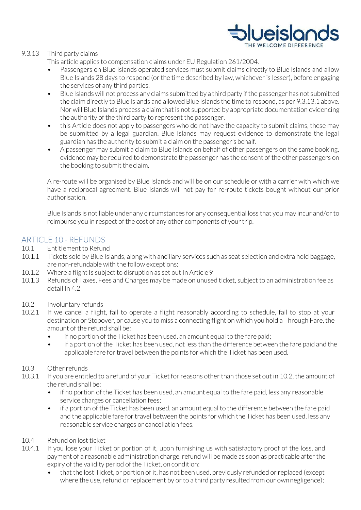

#### 9.3.13 Third party claims

This article applies to compensation claims under EU Regulation 261/2004.

- Passengers on Blue Islands operated services must submit claims directly to Blue Islands and allow Blue Islands 28 days to respond (or the time described by law, whichever is lesser), before engaging the services of any third parties.
- Blue Islands will not process any claims submitted by a third party ifthe passenger has not submitted the claim directly to Blue Islands and allowed Blue Islands the time to respond, as per 9.3.13.1 above. Nor will Blue Islands process a claim that is not supported by appropriate documentation evidencing the authority of the third party to represent the passenger.
- this Article does not apply to passengers who do not have the capacity to submit claims, these may be submitted by a legal guardian. Blue Islands may request evidence to demonstrate the legal guardian has the authority to submit a claim on the passenger's behalf.
- A passenger may submit a claim to Blue Islands on behalf of other passengers on the same booking, evidence may be required to demonstrate the passenger has the consent of the other passengers on the booking to submit theclaim.

A re-route will be organised by Blue Islands and will be on our schedule or with a carrier with which we have a reciprocal agreement. Blue Islands will not pay for re-route tickets bought without our prior authorisation.

Blue Islands is not liable under any circumstances for any consequential loss that you may incur and/or to reimburse you in respect of the cost of any other components of your trip.

# ARTICLE 10 - REFUNDS

- 10.1 Entitlement to Refund
- 10.1.1 Tickets sold by Blue Islands, along with ancillary services such as seat selection and extra hold baggage, are non-refundable with the follow exceptions:
- 10.1.2 Where a flight Is subject to disruption as set out In Article 9
- 10.1.3 Refunds of Taxes, Fees and Charges may be made on unused ticket, subject to an administration fee as detail In 4.2
- 10.2 Involuntary refunds
- 10.2.1 If we cancel a flight, fail to operate a flight reasonably according to schedule, fail to stop at your destination or Stopover, or cause you to miss a connecting flight on which you hold a Through Fare, the amount of the refund shall be:
	- if no portion of the Ticket has been used, an amount equal to the fare paid;
	- if a portion of the Ticket has been used, not less than the difference between the fare paid and the applicable fare for travel between the points for which the Ticket has been used.

#### 10.3 Other refunds

- 10.3.1 If you are entitled to a refund of your Ticket for reasons other than those set out in 10.2, the amount of the refund shall be:
	- if no portion of the Ticket has been used, an amount equal to the fare paid, less any reasonable service charges or cancellation fees;
	- if a portion of the Ticket has been used, an amount equal to the difference between the fare paid and the applicable fare for travel between the points for which the Ticket has been used, less any reasonable service charges or cancellation fees.
- 10.4 Refund on lost ticket
- 10.4.1 If you lose your Ticket or portion of it, upon furnishing us with satisfactory proof of the loss, and payment of a reasonable administration charge, refund will be made as soon as practicable after the expiry of the validity period of the Ticket, on condition:
	- that the lost Ticket, or portion of it, has not been used, previously refunded or replaced (except where the use, refund or replacement by or to a third party resulted from our own negligence);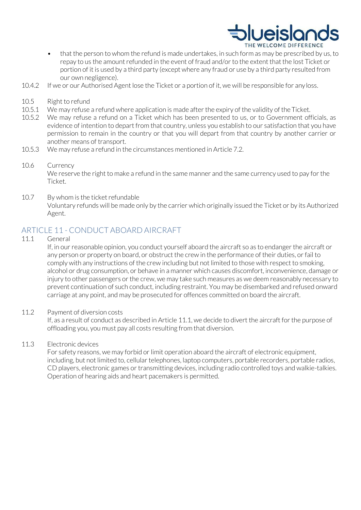

- that the person to whom the refund is made undertakes, in such form as may be prescribed by us, to repay to us the amount refunded in the event of fraud and/or to the extent that the lost Ticket or portion of it is used by a third party (except where any fraud or use by a third party resulted from our own negligence).
- 10.4.2 If we or our Authorised Agent lose the Ticket or a portion of it, we will be responsible for any loss.
- 10.5 Right to refund
- 10.5.1 We may refuse a refund where application is made after the expiry of the validity of theTicket.
- 10.5.2 We may refuse a refund on a Ticket which has been presented to us, or to Government officials, as evidence of intention to depart from that country, unless you establish to our satisfaction that you have permission to remain in the country or that you will depart from that country by another carrier or another means of transport.
- 10.5.3 We may refuse a refund in the circumstances mentioned in Article 7.2.
- 10.6 Currency We reserve the right to make a refund in the same manner and the same currency used to pay for the Ticket.
- 10.7 By whom is the ticket refundable Voluntary refunds will be made only by the carrier which originally issued the Ticket or by its Authorized Agent.

# ARTICLE 11 - CONDUCT ABOARD AIRCRAFT

11.1 General

If, in our reasonable opinion, you conduct yourself aboard the aircraft so as to endanger the aircraft or any person or property on board, or obstruct the crew in the performance of their duties, or fail to comply with any instructions of the crew including but not limited to those with respect to smoking, alcohol or drug consumption, or behave in a manner which causes discomfort, inconvenience, damage or injury to other passengers or the crew, we may take such measures as we deem reasonably necessary to prevent continuation of such conduct, including restraint. You may be disembarked and refused onward carriage at any point, and may be prosecuted for offences committed on board the aircraft.

#### 11.2 Payment of diversion costs

If, as a result of conduct as described in Article 11.1, we decide to divert the aircraft for the purpose of offloading you, you must pay all costs resulting from that diversion.

#### 11.3 Electronic devices

For safety reasons, we may forbid or limit operation aboard the aircraft of electronic equipment, including, but not limited to, cellular telephones, laptop computers, portable recorders, portable radios, CD players, electronic games or transmitting devices, including radio controlled toys and walkie-talkies. Operation of hearing aids and heart pacemakers is permitted.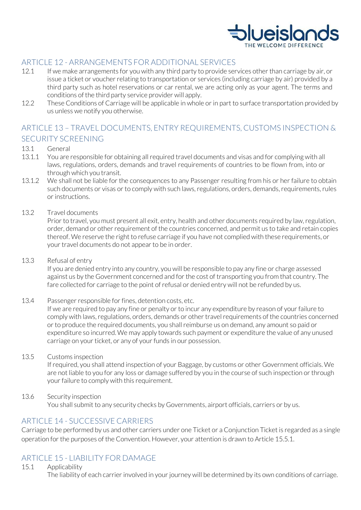

# ARTICLE 12 - ARRANGEMENTS FOR ADDITIONAL SERVICES

- 12.1 If we make arrangements for you with any third party to provide services other than carriage by air, or issue a ticket or voucher relating to transportation or services (including carriage by air) provided by a third party such as hotel reservations or car rental, we are acting only as your agent. The terms and conditions of the third party service provider will apply.
- 12.2 These Conditions of Carriage will be applicable in whole or in part to surface transportation provided by us unless we notify you otherwise.

# ARTICLE 13 – TRAVEL DOCUMENTS, ENTRY REQUIREMENTS, CUSTOMS INSPECTION & SECURITY SCREENING

#### 13.1 General

- 13.1.1 You are responsible for obtaining all required travel documents and visas and for complying with all laws, regulations, orders, demands and travel requirements of countries to be flown from, into or through which you transit.
- 13.1.2 We shall not be liable for the consequences to any Passenger resulting from his or her failure to obtain such documents or visas or to comply with such laws, regulations, orders, demands, requirements, rules orinstructions.
- 13.2 Travel documents

Prior to travel, you must present all exit, entry, health and other documents required by law, regulation, order, demand or other requirement of the countries concerned, and permit us to take and retain copies thereof. We reserve the right to refuse carriage if you have not complied with these requirements, or your travel documents do not appear to be in order.

13.3 Refusal of entry

If you are denied entry into any country, you will be responsible to pay any fine or charge assessed against us by the Government concerned and for the cost of transporting you from that country. The fare collected for carriage to the point of refusal or denied entry will not be refunded by us.

13.4 Passenger responsible for fines, detention costs, etc.

If we are required to pay any fine or penalty or to incur any expenditure by reason of your failure to comply with laws, regulations, orders, demands or other travel requirements of the countries concerned or to produce the required documents, you shall reimburse us on demand, any amount so paid or expenditure so incurred. We may apply towards such payment or expenditure the value of any unused carriage on your ticket, or any of your funds in our possession.

13.5 Customs inspection

If required, you shall attend inspection of your Baggage, by customs or other Government officials. We are not liable to you for any loss or damage suffered by you in the course of such inspection or through your failure to comply with this requirement.

13.6 Security inspection You shall submit to any security checks by Governments, airport officials, carriers or by us.

# ARTICLE 14 - SUCCESSIVE CARRIERS

Carriage to be performed by us and other carriers under one Ticket or a Conjunction Ticket is regarded as a single operation for the purposes of the Convention. However, your attention is drawn to Article 15.5.1.

# ARTICLE 15 - LIABILITY FOR DAMAGE

#### 15.1 Applicability

The liability of each carrier involved in your journey will be determined by its own conditions of carriage.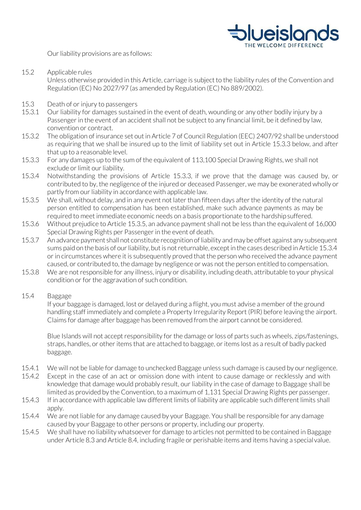

Our liability provisions are as follows:

15.2 Applicable rules

Unless otherwise provided in this Article, carriage is subject to the liability rules of the Convention and Regulation (EC) No 2027/97 (as amended by Regulation (EC) No 889/2002).

- 15.3 Death of or injury to passengers
- 15.3.1 Our liability for damages sustained in the event of death, wounding or any other bodily injury by a Passenger in the event of an accident shall not be subject to any financial limit, be it defined by law, convention or contract.
- 15.3.2 The obligation of insurance set out in Article 7 of Council Regulation (EEC) 2407/92 shall be understood as requiring that we shall be insured up to the limit of liability set out in Article 15.3.3 below, and after that up to a reasonable level.
- 15.3.3 For any damages up to the sum of the equivalent of 113,100 Special Drawing Rights, we shall not exclude or limit our liability.
- 15.3.4 Notwithstanding the provisions of Article 15.3.3, if we prove that the damage was caused by, or contributed to by, the negligence of the injured or deceased Passenger, we may be exonerated wholly or partly from our liability in accordance with applicable law.
- 15.3.5 We shall, without delay, and in any event not later than fifteen days after the identity of the natural person entitled to compensation has been established, make such advance payments as may be required to meet immediate economic needs on a basis proportionate to the hardshipsuffered.
- 15.3.6 Without prejudice to Article 15.3.5, an advance payment shall not be less than the equivalent of 16,000 Special Drawing Rights per Passenger in the event of death.
- 15.3.7 An advance payment shall not constitute recognition of liability and may be offset against any subsequent sums paid on the basis of our liability, but is not returnable, except in the cases described in Article 15.3.4 or in circumstances where it is subsequently proved that the person who received the advance payment caused, or contributed to, the damage by negligence or was not the person entitled to compensation.
- 15.3.8 We are not responsible for any illness, injury or disability, including death, attributable to your physical condition or for the aggravation of such condition.
- 15.4 Baggage

If your baggage is damaged, lost or delayed during a flight, you must advise a member of the ground handling staff immediately and complete a Property Irregularity Report (PIR) before leaving the airport. Claims for damage after baggage has been removed from the airport cannot be considered.

Blue Islands will not accept responsibility for the damage or loss of parts such as wheels, zips/fastenings, straps, handles, or other items that are attached to baggage, or items lost as a result of badly packed baggage.

- 15.4.1 We will not be liable for damage to unchecked Baggage unless such damage is caused by our negligence.
- 15.4.2 Except in the case of an act or omission done with intent to cause damage or recklessly and with knowledge that damage would probably result, our liability in the case of damage to Baggage shall be limited as provided by the Convention, to a maximum of 1,131 Special Drawing Rights per passenger.
- 15.4.3 If in accordance with applicable law different limits of liability are applicable such different limits shall apply.
- 15.4.4 We are not liable for any damage caused by your Baggage. You shall be responsible for any damage caused by your Baggage to other persons or property, including our property.
- 15.4.5 We shall have no liability whatsoever for damage to articles not permitted to be contained in Baggage under Article 8.3 and Article 8.4, including fragile or perishable items and items having a specialvalue.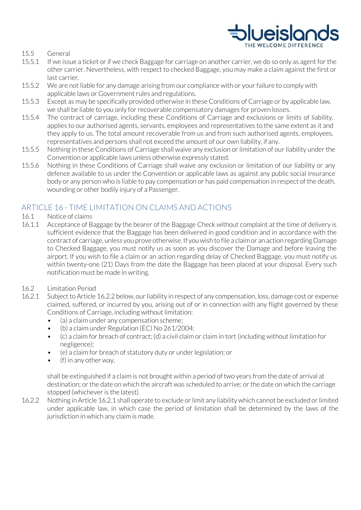

#### 15.5 General

- 15.5.1 If we issue a ticket or if we check Baggage for carriage on another carrier, we do so only as agent for the other carrier. Nevertheless, with respect to checked Baggage, you may make a claim against the first or last carrier.
- 15.5.2 We are not liable for any damage arising from our compliance with or your failure to comply with applicable laws or Government rules and regulations.
- 15.5.3 Except as may be specifically provided otherwise in these Conditions of Carriage or by applicable law, we shall be liable to you only for recoverable compensatory damages for proven losses.
- 15.5.4 The contract of carriage, including these Conditions of Carriage and exclusions or limits of liability, applies to our authorised agents, servants, employees and representatives to the same extent as it and they apply to us. The total amount recoverable from us and from such authorised agents, employees, representatives and persons shall not exceed the amount of our own liability, if any.
- 15.5.5 Nothing in these Conditions of Carriage shall waive any exclusion or limitation of our liability under the Convention or applicable laws unless otherwise expressly stated.
- 15.5.6 Nothing in these Conditions of Carriage shall waive any exclusion or limitation of our liability or any defence available to us under the Convention or applicable laws as against any public social insurance body or any person who is liable to pay compensation or has paid compensation in respect of the death, wounding or other bodily injury of a Passenger.

# ARTICLE 16 - TIME LIMITATION ON CLAIMS AND ACTIONS

- 16.1 Notice of claims
- 16.1.1 Acceptance of Baggage by the bearer of the Baggage Check without complaint at the time of delivery is sufficient evidence that the Baggage has been delivered in good condition and in accordance with the contract of carriage, unless you prove otherwise. If you wish to file a claim or an action regarding Damage to Checked Baggage, you must notify us as soon as you discover the Damage and before leaving the airport. If you wish to file a claim or an action regarding delay of Checked Baggage, you must notify us within twenty-one (21) Days from the date the Baggage has been placed at your disposal. Every such notification must be made in writing.
- 16.2 Limitation Period
- 16.2.1 Subject to Article 16.2.2 below, our liability in respect of any compensation, loss, damage cost or expense claimed, suffered, or incurred by you, arising out of or in connection with any flight governed by these Conditions of Carriage, including without limitation:
	- (a) a claim under any compensation scheme;
	- (b) a claim under Regulation (EC) No 261/2004;
	- (c) a claim for breach of contract; (d) a civil claim or claim in tort (including without limitation for negligence);
	- (e) a claim for breach of statutory duty or under legislation; or
	- $\bullet$  (f) in any other way,

shall be extinguished if a claim is not brought within a period of two years from the date of arrival at destination; or the date on which the aircraft was scheduled to arrive; or the date on which the carriage stopped (whichever is the latest).

16.2.2 Nothing in Article 16.2.1 shall operate to exclude or limit any liability which cannot be excluded or limited under applicable law, in which case the period of limitation shall be determined by the laws of the jurisdiction in which any claim is made.